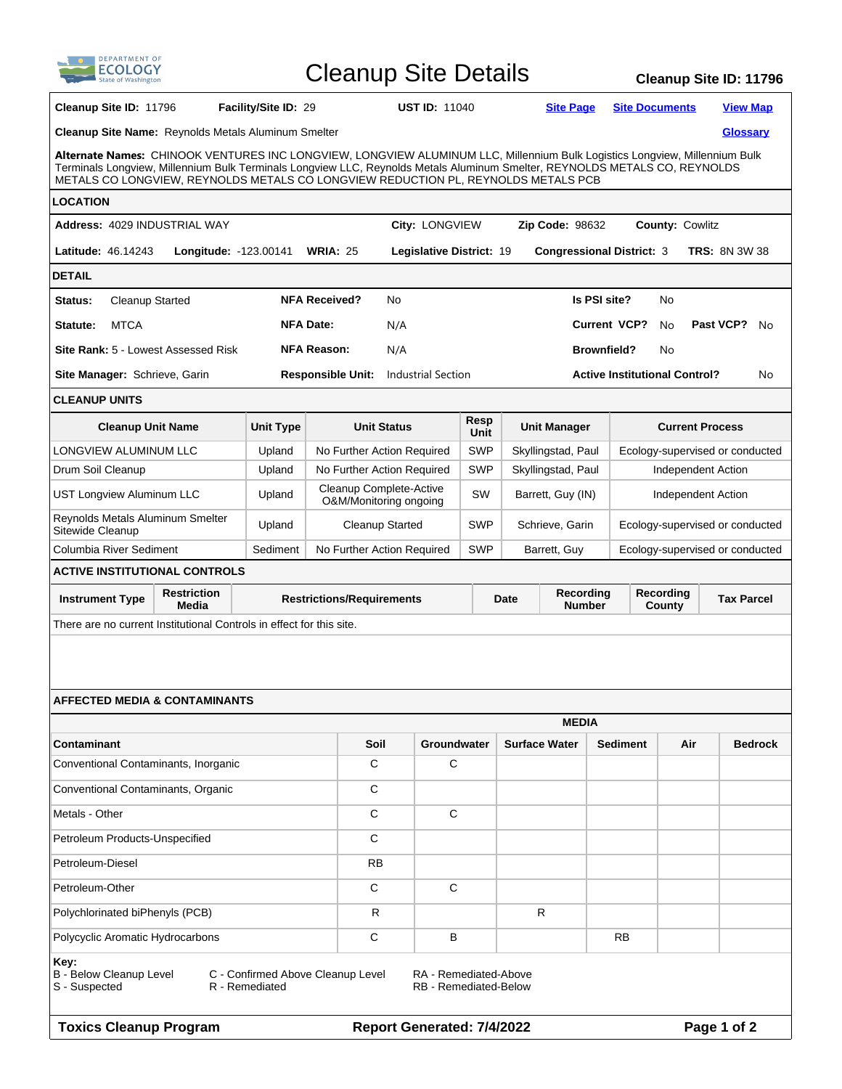